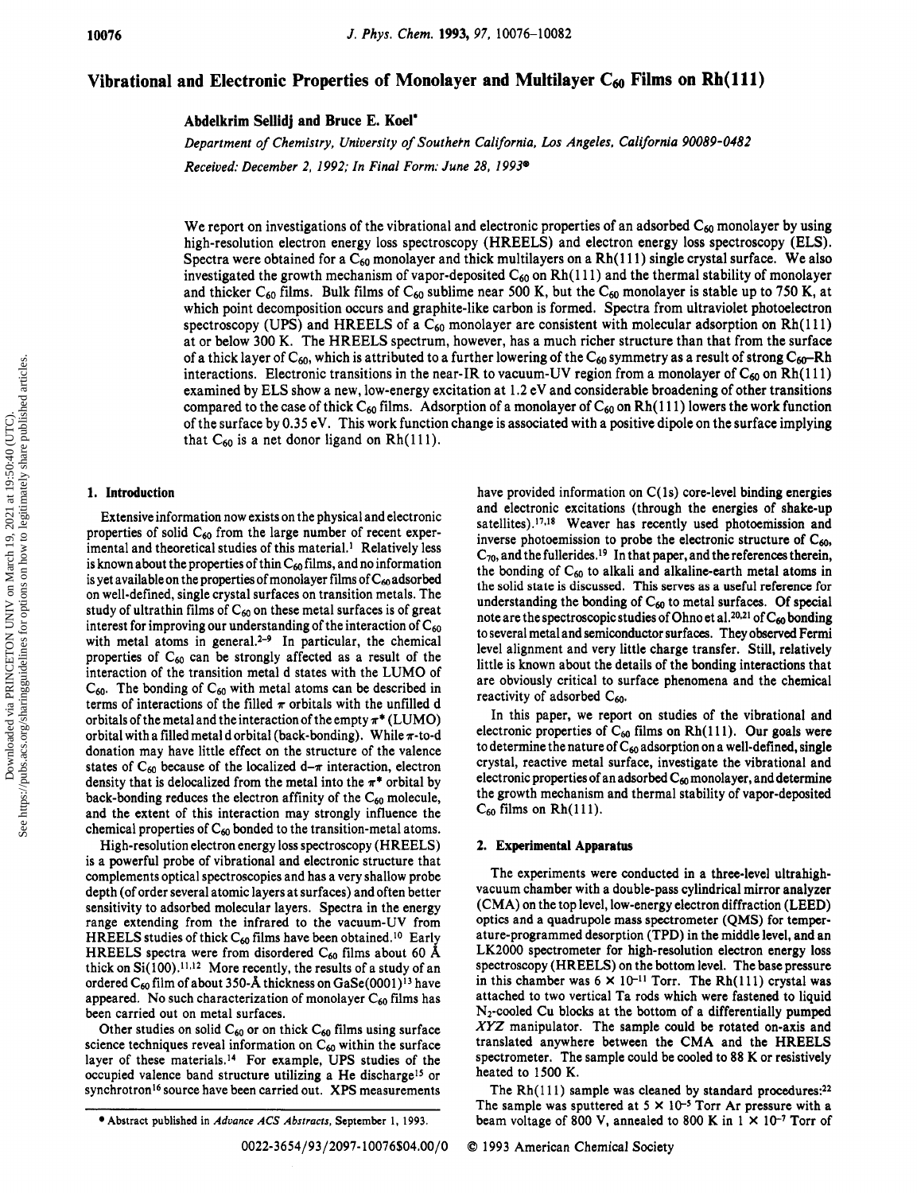# Vibrational and Electronic Properties of Monolayer and Multilayer  $C_{60}$  Films on Rh(111)

Abdelkrim Sellidj and Bruce E. Koel\*

Department of Chemistry, University of Southern California, Los Angeles, California 90089-0482 Received: December 2, 1992; In Final Form; June 28, 1993®

We report on investigations of the vibrational and electronic properties of an adsorbed  $C_{60}$  monolayer by using high-resolution electron energy loss spectroscopy (HREELS) and electron energy loss spectroscopy (ELS). Spectra were obtained for a  $C_{60}$  monolayer and thick multilayers on a  $Rh(111)$  single crystal surface. We also investigated the growth mechanism of vapor-deposited  $C_{60}$  on Rh(111) and the thermal stability of monolayer and thicker C<sub>60</sub> films. Bulk films of C<sub>60</sub> sublime near 500 K, but the C<sub>60</sub> monolayer is stable up to 750 K, at which point decomposition occurs and graphite-like carbon is formed. Spectra from ultraviolet photoelectron spectroscopy (UPS) and HREELS of a  $C_{60}$  monolayer are consistent with molecular adsorption on Rh(111) at or below 300 K. The HREELS spectrum, however, has <sup>a</sup> much richer structure than that from the surface of a thick layer of C<sub>60</sub>, which is attributed to a further lowering of the C<sub>60</sub> symmetry as a result of strong C<sub>60</sub>–Rh interactions. Electronic transitions in the near-IR to vacuum-UV region from a monolayer of  $C_{60}$  on Rh(111) examined by ELS show <sup>a</sup> new, low-energy excitation at 1.2 eV and considerable broadening of other transitions compared to the case of thick  $C_{60}$  films. Adsorption of a monolayer of  $C_{60}$  on Rh(111) lowers the work function of the surface by 0.35 eV. This work function change is associated with <sup>a</sup> positive dipole on the surface implying that  $C_{60}$  is a net donor ligand on Rh(111).

## 1. Introduction

Extensive information now exists on the physical and electronic properties of solid  $C_{60}$  from the large number of recent experimental and theoretical studies of this material.<sup>1</sup> Relatively less is known about the properties of thin  $C_{60}$  films, and no information is yet available on the properties of monolayer films of  $C_{60}$  adsorbed on well-defined, single crystal surfaces on transition metals. The study of ultrathin films of  $C_{60}$  on these metal surfaces is of great interest for improving our understanding of the interaction of  $C_{60}$ with metal atoms in general.<sup>2-9</sup> In particular, the chemical properties of  $C_{60}$  can be strongly affected as a result of the interaction of the transition metal d states with the LUMO of  $C_{60}$ . The bonding of  $C_{60}$  with metal atoms can be described in terms of interactions of the filled  $\pi$  orbitals with the unfilled d orbitals of the metal and the interaction of the empty  $\pi^*$  (LUMO) orbital with a filled metal d orbital (back-bonding). While  $\pi$ -to-d donation may have little effect on the structure of the valence states of  $C_{60}$  because of the localized d- $\pi$  interaction, electron density that is delocalized from the metal into the  $\pi^*$  orbital by back-bonding reduces the electron affinity of the  $C_{60}$  molecule, and the extent of this interaction may strongly influence the chemical properties of  $C_{60}$  bonded to the transition-metal atoms.

High-resolution electron energy loss spectroscopy (HREELS) is <sup>a</sup> powerful probe of vibrational and electronic structure that complements optical spectroscopies and has <sup>a</sup> very shallow probe depth (of order several atomic layers at surfaces) and often better sensitivity to adsorbed molecular layers. Spectra in the energy range extending from the infrared to the vacuum-UV from HREELS studies of thick  $C_{60}$  films have been obtained.<sup>10</sup> Early HREELS spectra were from disordered  $C_{60}$  films about 60 Å thick on  $Si(100)$ .<sup>11,12</sup> More recently, the results of a study of an ordered  $C_{60}$  film of about 350-Å thickness on  $GaSe(0001)^{13}$  have appeared. No such characterization of monolayer  $C_{60}$  films has been carried out on metal surfaces.

Other studies on solid  $C_{60}$  or on thick  $C_{60}$  films using surface science techniques reveal information on  $C_{60}$  within the surface layer of these materials.14 For example, UPS studies of the occupied valence band structure utilizing <sup>a</sup> He discharge15 or synchrotron<sup>16</sup> source have been carried out. XPS measurements

have provided information on C(ls) core-level binding energies and electronic excitations (through the energies of shake-up satellites).<sup>17,18</sup> Weaver has recently used photoemission and inverse photoemission to probe the electronic structure of  $C_{60}$ ,  $C_{70}$ , and the fullerides.<sup>19</sup> In that paper, and the references therein, the bonding of  $C_{60}$  to alkali and alkaline-earth metal atoms in the solid state is discussed. This serves as a useful reference for understanding the bonding of  $C_{60}$  to metal surfaces. Of special note are the spectroscopic studies of Ohno et al.<sup>20,21</sup> of C<sub>60</sub> bonding to several metal and semiconductor surfaces. They observed Fermi level alignment and very little charge transfer. Still, relatively little is known about the details of the bonding interactions that are obviously critical to surface phenomena and the chemical reactivity of adsorbed  $C_{60}$ . In this paper, we report on studies of the vibrational and

electronic properties of  $C_{60}$  films on Rh(111). Our goals were to determine the nature of  $C_{60}$  adsorption on a well-defined, single crystal, reactive metal surface, investigate the vibrational and electronic properties of an adsorbed  $C_{60}$  monolayer, and determine the growth mechanism and thermal stability of vapor-deposited  $C_{60}$  films on  $Rh(111)$ .

### 2. Experimental Apparatus

The experiments were conducted in <sup>a</sup> three-level ultrahighvacuum chamber with <sup>a</sup> double-pass cylindrical mirror analyzer (CM A) on the top level, low-energy electron diffraction (LEED) optics and <sup>a</sup> quadrupole mass spectrometer (QMS) for temperature-programmed desorption (TPD) in the middle level, and an LK2000 spectrometer for high-resolution electron energy loss spectroscopy (HREELS) on the bottom level. The base pressure in this chamber was  $6 \times 10^{-11}$  Torr. The Rh(111) crystal was attached to two vertical Ta rods which were fastened to liquid  $N_2$ -cooled Cu blocks at the bottom of a differentially pumped XYZ manipulator. The sample could be rotated on-axis and translated anywhere between the CMA and the HREELS spectrometer. The sample could be cooled to <sup>88</sup> K or resistively heated to 1500 K.

The Rh(111) sample was cleaned by standard procedures:<sup>22</sup> The sample was sputtered at  $5 \times 10^{-5}$  Torr Ar pressure with a beam voltage of 800 V, annealed to 800 K in  $1 \times 10^{-7}$  Torr of

Downloaded via PRINCETON UNIV on March 19, 2021 at 19:50:40 (UTC).<br>See https://pubs.acs.org/sharingguidelines for options on how to legitimately share published articles See https://pubs.acs.org/sharingguidelines for options on how to legitimately share published articles.Downloaded via PRINCETON UNIV on March 19, 2021 at 19:50:40 (UTC).

**<sup>•</sup> Abstract published in Advance ACS Abstracts, September 1, 1993.**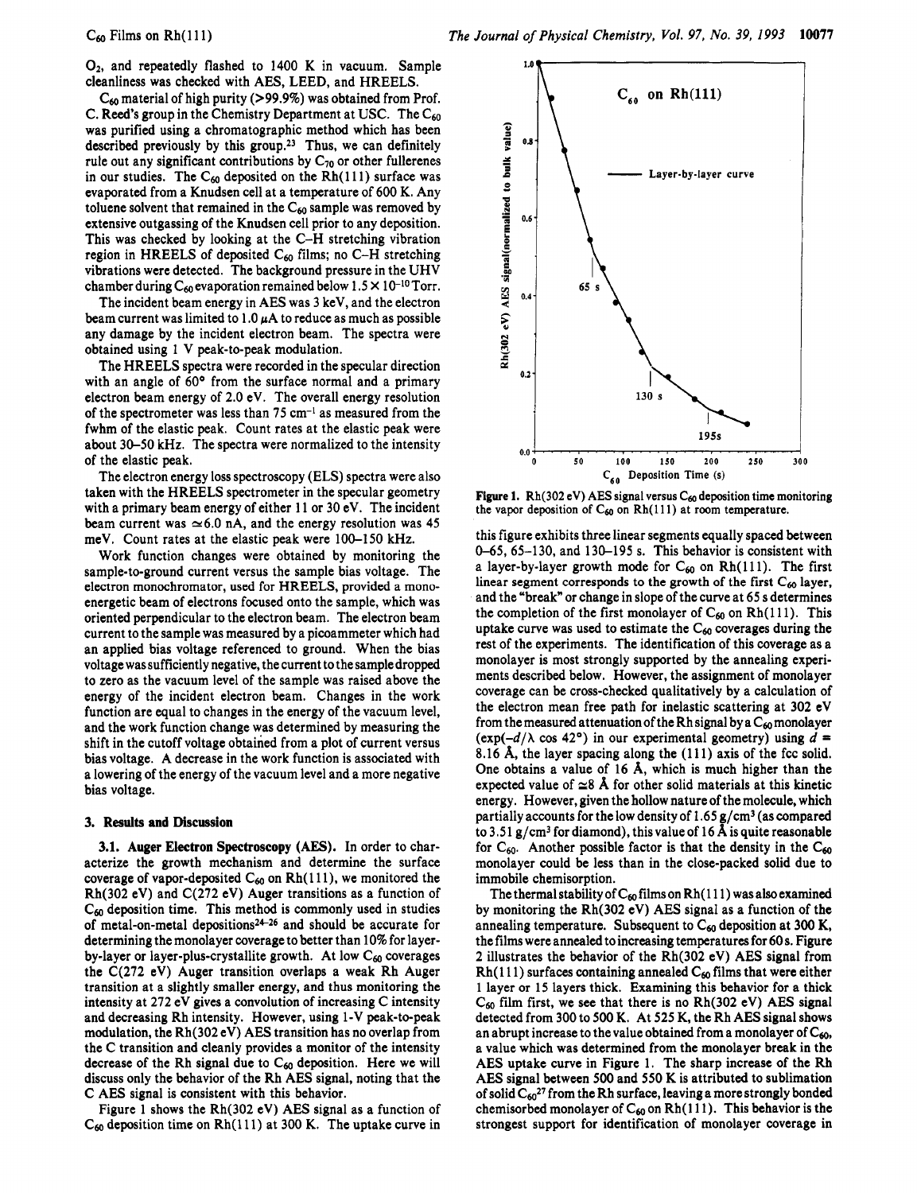02, and repeatedly flashed to <sup>1400</sup> K in vacuum. Sample cleanliness was checked with AES, LEED, and HREELS.

 $C_{60}$  material of high purity (>99.9%) was obtained from Prof. C. Reed's group in the Chemistry Department at USC. The  $C_{60}$ was purified using <sup>a</sup> chromatographic method which has been described previously by this group.<sup>23</sup> Thus, we can definitely rule out any significant contributions by  $C_{70}$  or other fullerenes in our studies. The  $C_{60}$  deposited on the Rh(111) surface was evaporated from <sup>a</sup> Knudsen cell at <sup>a</sup> temperature of 600 K. Any toluene solvent that remained in the  $C_{60}$  sample was removed by extensive outgassing of the Knudsen cell prior to any deposition. This was checked by looking at the C-H stretching vibration region in HREELS of deposited  $C_{60}$  films; no C-H stretching vibrations were detected. The background pressure in the UHV chamber during  $C_{60}$  evaporation remained below  $1.5 \times 10^{-10}$  Torr.

The incident beam energy in AES was <sup>3</sup> keV, and the electron beam current was limited to  $1.0 \mu A$  to reduce as much as possible any damage by the incident electron beam. The spectra were obtained using <sup>1</sup> V peak-to-peak modulation.

The HREELS spectra were recorded in the specular direction with an angle of 60° from the surface normal and <sup>a</sup> primary electron beam energy of 2.0 eV. The overall energy resolution of the spectrometer was less than <sup>75</sup> cm-1 as measured from the fwhm of the elastic peak. Count rates at the elastic peak were about 30-50 kHz. The spectra were normalized to the intensity of the elastic peak.

The electron energy loss spectroscopy (ELS) spectra were also taken with the HREELS spectrometer in the specular geometry with <sup>a</sup> primary beam energy of either <sup>11</sup> or <sup>30</sup> eV. The incident beam current was  $\simeq 6.0$  nA, and the energy resolution was 45 meV. Count rates at the elastic peak were 100-150 kHz.

Work function changes were obtained by monitoring the sample-to-ground current versus the sample bias voltage. The electron monochromator, used for HREELS, provided <sup>a</sup> monoenergetic beam of electrons focused onto the sample, which was oriented perpendicular to the electron beam. The electron beam current to the sample was measured by <sup>a</sup> picoammeter which had an applied bias voltage referenced to ground. When the bias voltage was sufficiently negative, the current to the sample dropped to zero as the vacuum level of the sample was raised above the energy of the incident electron beam. Changes in the work function are equal to changes in the energy of the vacuum level, and the work function change was determined by measuring the shift in the cutoff voltage obtained from <sup>a</sup> plot of current versus bias voltage. A decrease in the work function is associated with <sup>a</sup> lowering of the energy of the vacuum level and <sup>a</sup> more negative bias voltage.

## 3. Results and Discussion

3.1. Auger Electron Spectroscopy (AES). In order to characterize the growth mechanism and determine the surface coverage of vapor-deposited  $C_{60}$  on Rh(111), we monitored the Rh(302 eV) and C(272 eV) Auger transitions as <sup>a</sup> function of  $C_{60}$  deposition time. This method is commonly used in studies of metal-on-metal depositions24-26 and should be accurate for determining the monolayer coverage to better than 10% for layerby-layer or layer-plus-crystallite growth. At low  $C_{60}$  coverages the C(272 eV) Auger transition overlaps <sup>a</sup> weak Rh Auger transition at <sup>a</sup> slightly smaller energy, and thus monitoring the intensity at 272 eV gives <sup>a</sup> convolution of increasing C intensity and decreasing Rh intensity. However, using 1-V peak-to-peak modulation, the Rh(302 eV) AES transition has no overlap from the C transition and cleanly provides <sup>a</sup> monitor of the intensity decrease of the Rh signal due to  $C_{60}$  deposition. Here we will discuss only the behavior of the Rh AES signal, noting that the C AES signal is consistent with this behavior.

Figure <sup>1</sup> shows the Rh(302 eV) AES signal as <sup>a</sup> function of  $C_{60}$  deposition time on Rh(111) at 300 K. The uptake curve in



Figure 1.  $Rh(302 eV)$  AES signal versus  $C_{60}$  deposition time monitoring the vapor deposition of  $C_{60}$  on Rh(111) at room temperature.

this figure exhibits three linear segments equally spaced between 0-65, 65-130, and 130-195 s. This behavior is consistent with a layer-by-layer growth mode for  $C_{60}$  on Rh(111). The first linear segment corresponds to the growth of the first  $C_{60}$  layer, and the "break" or change in slope of the curve at <sup>65</sup> <sup>s</sup> determines the completion of the first monolayer of  $C_{60}$  on Rh(111). This uptake curve was used to estimate the  $C_{60}$  coverages during the rest of the experiments. The identification of this coverage as <sup>a</sup> monolayer is most strongly supported by the annealing experiments described below. However, the assignment of monolayer coverage can be cross-checked qualitatively by <sup>a</sup> calculation of the electron mean free path for inelastic scattering at 302 eV from the measured attenuation of the Rh signal by a  $C_{60}$  monolayer  $(\exp(-d/\lambda \cos 42^{\circ}))$  in our experimental geometry) using  $d =$ 8.16 Á, the layer spacing along the (111) axis of the fee solid. One obtains <sup>a</sup> value of <sup>16</sup> Á, which is much higher than the expected value of  $\approx 8$  Å for other solid materials at this kinetic energy. However, given the hollow nature of the molecule, which partially accounts for the low density of 1.65  $g/cm^3$  (as compared to 3.51 g/cm<sup>3</sup> for diamond), this value of 16 Å is quite reasonable for  $C_{60}$ . Another possible factor is that the density in the  $C_{60}$ monolayer could be less than in the close-packed solid due to immobile chemisorption.

The thermal stability of  $C_{60}$  films on Rh(111) was also examined by monitoring the Rh(302 eV) AES signal as <sup>a</sup> function of the annealing temperature. Subsequent to  $C_{60}$  deposition at 300 K, the films were annealed to increasing temperatures for 60 s. Figure <sup>2</sup> illustrates the behavior of the Rh(302 eV) AES signal from  $Rh(111)$  surfaces containing annealed  $C_{60}$  films that were either <sup>1</sup> layer or <sup>15</sup> layers thick. Examining this behavior for <sup>a</sup> thick  $C_{60}$  film first, we see that there is no Rh(302 eV) AES signal detected from 300 to 500 K. At 525 K, the Rh AES signal shows an abrupt increase to the value obtained from a monolayer of  $C_{60}$ , <sup>a</sup> value which was determined from the monolayer break in the AES uptake curve in Figure 1. The sharp increase of the Rh AES signal between 500 and 550 K is attributed to sublimation of solid  $C_{60}$ <sup>27</sup> from the Rh surface, leaving a more strongly bonded chemisorbed monolayer of  $C_{60}$  on Rh(111). This behavior is the strongest support for identification of monolayer coverage in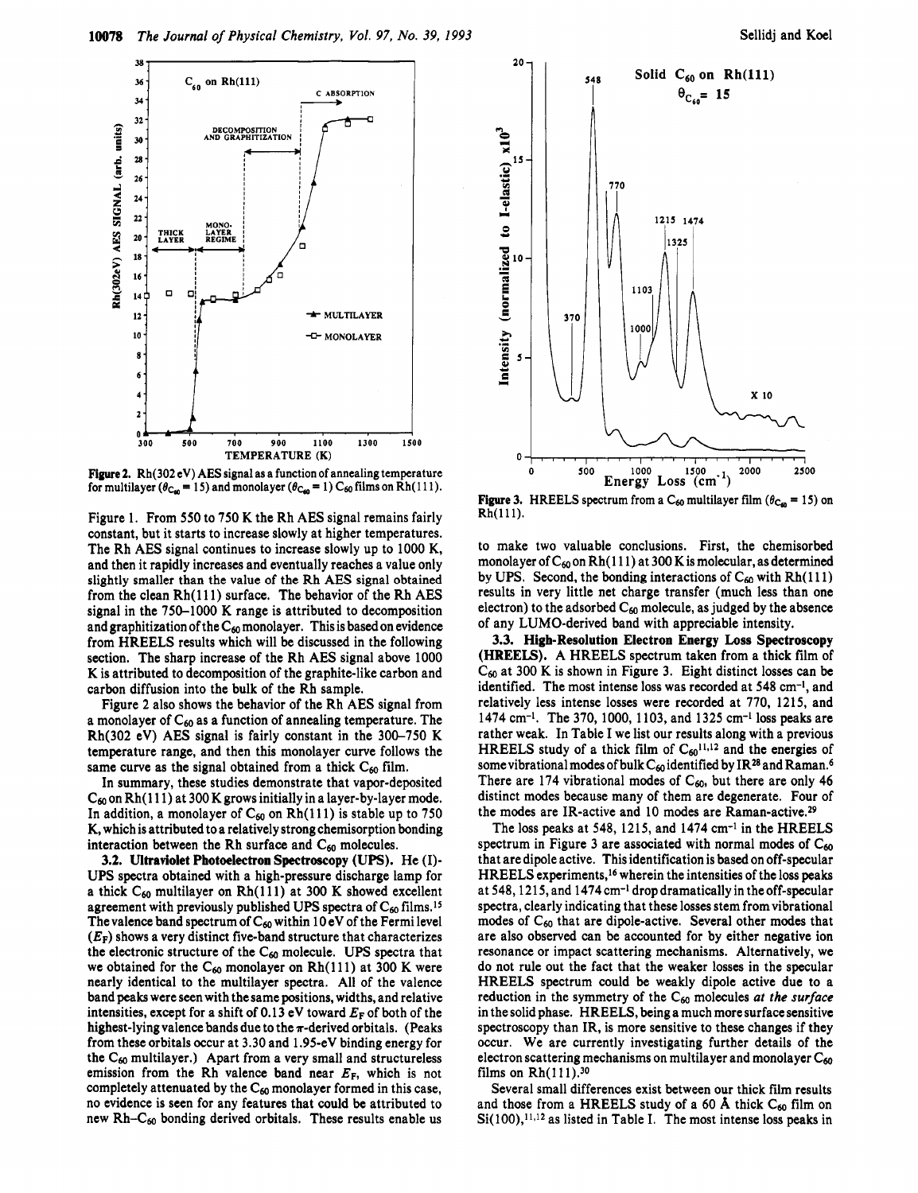

Figure 2. Rh(302 eV) AES signal as <sup>a</sup> function of annealing temperature for multilayer ( $\theta_{C_{60}}$  = 15) and monolayer ( $\theta_{C_{60}}$  = 1)  $C_{60}$  films on Rh(111).

Figure 1. From <sup>550</sup> to 750 K the Rh AES signal remains fairly constant, but it starts to increase slowly at higher temperatures. The Rh AES signal continues to increase slowly up to 1000 K, and then it rapidly increases and eventually reaches <sup>a</sup> value only slightly smaller than the value of the Rh AES signal obtained from the clean Rh(111) surface. The behavior of the Rh AES signal in the 750-1000 K range is attributed to decomposition and graphitization of the  $C_{60}$  monolayer. This is based on evidence from HREELS results which will be discussed in the following section. The sharp increase of the Rh AES signal above <sup>1000</sup> K is attributed to decomposition of the graphite-like carbon and carbon diffusion into the bulk of the Rh sample.

Figure <sup>2</sup> also shows the behavior of the Rh AES signal from a monolayer of  $C_{60}$  as a function of annealing temperature. The Rh(302 eV) AES signal is fairly constant in the 300-750 K temperature range, and then this monolayer curve follows the same curve as the signal obtained from a thick  $C_{60}$  film.

In summary, these studies demonstrate that vapor-deposited  $C_{60}$  on Rh(111) at 300 K grows initially in a layer-by-layer mode. In addition, a monolayer of  $C_{60}$  on Rh(111) is stable up to 750 K, which is attributed to <sup>a</sup> relatively strong chemisorption bonding interaction between the Rh surface and  $C_{60}$  molecules.

3.2. Ultraviolet Photoelectron Spectroscopy (UPS). He (I)- UPS spectra obtained with <sup>a</sup> high-pressure discharge lamp for a thick  $C_{60}$  multilayer on Rh(111) at 300 K showed excellent agreement with previously published UPS spectra of  $C_{60}$  films.<sup>15</sup> The valence band spectrum of  $C_{60}$  within 10 eV of the Fermi level  $(E_F)$  shows a very distinct five-band structure that characterizes the electronic structure of the  $C_{60}$  molecule. UPS spectra that we obtained for the  $C_{60}$  monolayer on Rh(111) at 300 K were nearly identical to the multilayer spectra. All of the valence band peaks were seen with the same positions, widths, and relative intensities, except for a shift of 0.13 eV toward  $E_F$  of both of the highest-lying valence bands due to the  $\pi$ -derived orbitals. (Peaks from these orbitals occur at 3.30 and 1.95-eV binding energy for the  $C_{60}$  multilayer.) Apart from a very small and structureless emission from the Rh valence band near  $E_F$ , which is not completely attenuated by the  $C_{60}$  monolayer formed in this case, no evidence is seen for any features that could be attributed to new  $Rh-C_{60}$  bonding derived orbitals. These results enable us



Figure 3. HREELS spectrum from a C<sub>60</sub> multilayer film ( $\theta_{\text{Ca}} = 15$ ) on  $Rh(111)$ .

to make two valuable conclusions. First, the chemisorbed monolayer of  $C_{60}$  on Rh(111) at 300 K is molecular, as determined by UPS. Second, the bonding interactions of  $C_{60}$  with Rh(111) results in very little net charge transfer (much less than one electron) to the adsorbed  $C_{60}$  molecule, as judged by the absence of any LUMO-derived band with appreciable intensity.

3.3. High-Resolution Electron Energy Loss Spectroscopy (HREELS). A HREELS spectrum taken from <sup>a</sup> thick film of  $C_{60}$  at 300 K is shown in Figure 3. Eight distinct losses can be identified. The most intense loss was recorded at 548 cm-1, and relatively less intense losses were recorded at 770, 1215, and 1474 cm-1. The 370,1000, 1103, and 1325 cm-1 loss peaks are rather weak. In Table I we list our results along with <sup>a</sup> previous HREELS study of a thick film of  $C_{60}$ <sup>11,12</sup> and the energies of some vibrational modes of bulk  $C_{60}$  identified by IR<sup>28</sup> and Raman.<sup>6</sup> There are 174 vibrational modes of  $C_{60}$ , but there are only 46 distinct modes because many of them are degenerate. Four of the modes are IR-active and 10 modes are Raman-active.29

The loss peaks at 548, 1215, and 1474 cm-1 in the HREELS spectrum in Figure 3 are associated with normal modes of  $C_{60}$ that are dipole active. This identification is based on off-specular HREELS experiments,16 wherein the intensities of the loss peaks at 548,1215, and 1474 cm-1 drop dramatically in the off-specular spectra, clearly indicating that these losses stem from vibrational modes of  $C_{60}$  that are dipole-active. Several other modes that are also observed can be accounted for by either negative ion resonance or impact scattering mechanisms. Alternatively, we do not rule out the fact that the weaker losses in the specular HREELS spectrum could be weakly dipole active due to <sup>a</sup> reduction in the symmetry of the  $C_{60}$  molecules at the surface in the solid phase. HREELS, being <sup>a</sup> much more surface sensitive spectroscopy than IR, is more sensitive to these changes if they occur. We are currently investigating further details of the electron scattering mechanisms on multilayer and monolayer  $C_{60}$ films on  $Rh(111).30$ 

Several small differences exist between our thick film results and those from a HREELS study of a 60 Å thick  $C_{60}$  film on Si(100),<sup>11,12</sup> as listed in Table I. The most intense loss peaks in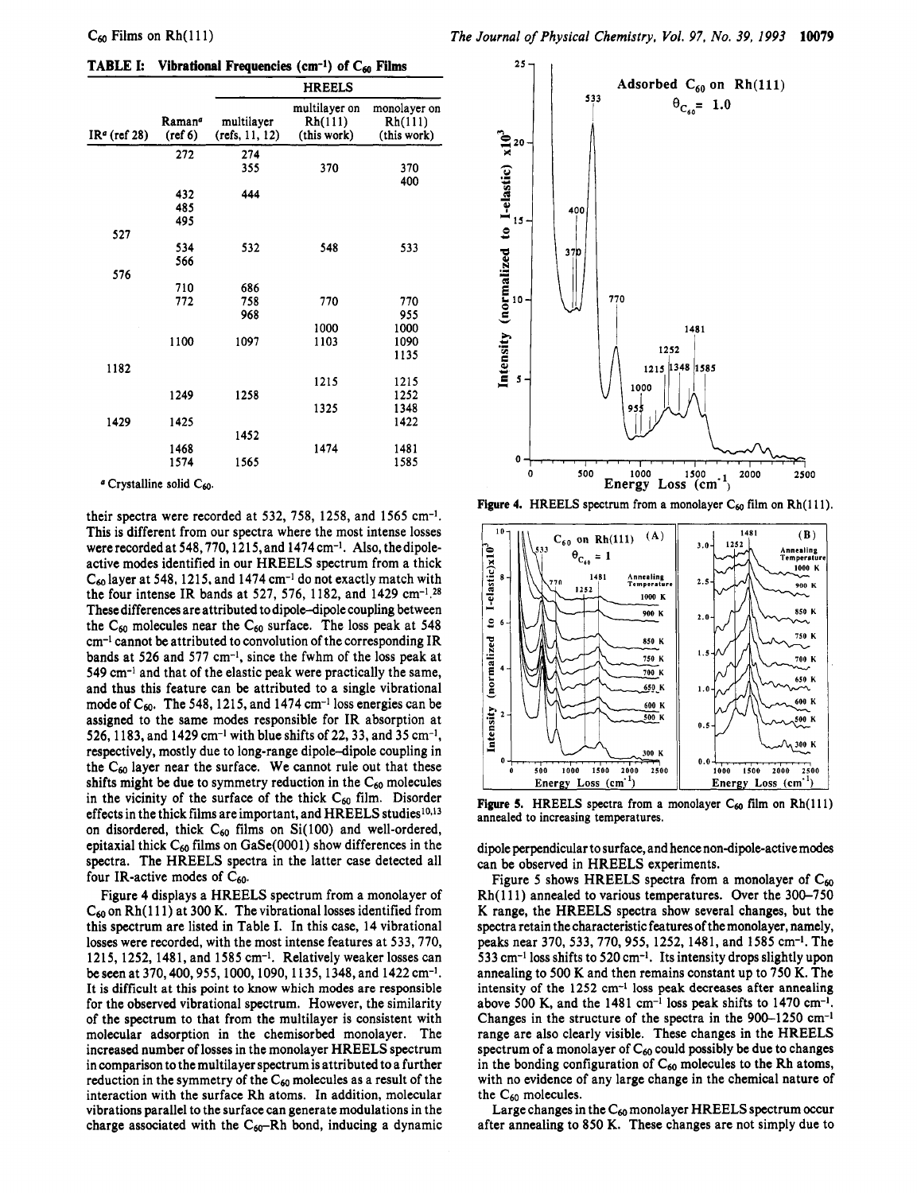TABLE I: Vibrational Frequencies (cm<sup>-1</sup>) of  $C_{60}$  Films

| IR <sup><math>d</math></sup> (ref 28) | Raman"<br>(ref 6) | <b>HREELS</b>                |                                         |                                        |
|---------------------------------------|-------------------|------------------------------|-----------------------------------------|----------------------------------------|
|                                       |                   | multilayer<br>(refs, 11, 12) | multilayer on<br>Rh(111)<br>(this work) | monolayer on<br>Rh(111)<br>(this work) |
|                                       | 272               | 274                          |                                         |                                        |
|                                       |                   | 355                          | 370                                     | 370<br>400                             |
|                                       | 432               | 444                          |                                         |                                        |
|                                       | 485               |                              |                                         |                                        |
|                                       | 495               |                              |                                         |                                        |
| 527                                   |                   |                              |                                         |                                        |
|                                       | 534               | 532                          | 548                                     | 533                                    |
|                                       | 566               |                              |                                         |                                        |
| 576                                   |                   |                              |                                         |                                        |
|                                       | 710               | 686                          |                                         |                                        |
|                                       | 772               | 758                          | 770                                     | 770                                    |
|                                       |                   | 968                          |                                         | 955                                    |
|                                       |                   |                              | 1000                                    | 1000                                   |
|                                       | 1100              | 1097                         | 1103                                    | 1090                                   |
|                                       |                   |                              |                                         | 1135                                   |
| 1182                                  |                   |                              |                                         |                                        |
|                                       |                   |                              | 1215                                    | 1215                                   |
|                                       | 1249              | 1258                         |                                         | 1252                                   |
|                                       |                   |                              | 1325                                    | 1348                                   |
| 1429                                  | 1425              |                              |                                         | 1422                                   |
|                                       |                   | 1452                         |                                         |                                        |
|                                       | 1468              |                              | 1474                                    | 1481                                   |
|                                       | 1574              | 1565                         |                                         | 1585                                   |
|                                       |                   |                              |                                         |                                        |

<sup>a</sup> Crystalline solid C60.

their spectra were recorded at 532, 758, 1258, and 1565 cm-1. This is different from our spectra where the most intense losses were recorded at 548,770,1215, and 1474 cm-1. Also, the dipoleactive modes identified in our HREELS spectrum from <sup>a</sup> thick  $C_{60}$  layer at 548, 1215, and 1474 cm<sup>-1</sup> do not exactly match with the four intense IR bands at 527, 576, 1182, and 1429 cm-1.28 These differences are attributed to dipole-dipole coupling between the C<sub>60</sub> molecules near the C<sub>60</sub> surface. The loss peak at 548 cm-1 cannot be attributed to convolution of the corresponding IR bands at 526 and 577 cm-1, since the fwhm of the loss peak at 549 cm<sup>-1</sup> and that of the elastic peak were practically the same, and thus this feature can be attributed to <sup>a</sup> single vibrational mode of  $C_{60}$ . The 548, 1215, and 1474 cm<sup>-1</sup> loss energies can be assigned to the same modes responsible for IR absorption at 526,1183, and 1429 cm-1 with blue shifts of 22,33, and <sup>35</sup> cm-1, respectively, mostly due to long-range dipole-dipole coupling in the  $C_{60}$  layer near the surface. We cannot rule out that these shifts might be due to symmetry reduction in the  $C_{60}$  molecules in the vicinity of the surface of the thick  $C_{60}$  film. Disorder effects in the thick films are important, and HREELS studies<sup>10,13</sup> on disordered, thick  $C_{60}$  films on Si(100) and well-ordered, epitaxial thick  $C_{60}$  films on  $Gase(0001)$  show differences in the spectra. The HREELS spectra in the latter case detected all four IR-active modes of  $C_{60}$ .

Figure <sup>4</sup> displays <sup>a</sup> HREELS spectrum from <sup>a</sup> monolayer of  $C_{60}$  on Rh(111) at 300 K. The vibrational losses identified from this spectrum are listed in Table I. In this case, <sup>14</sup> vibrational losses were recorded, with the most intense features at 533,770, 1215,1252,1481, and 1585 cm-1. Relatively weaker losses can be seen at 370,400,955,1000,1090,1135,1348, and 1422 cm-1. It is difficult at this point to know which modes are responsible for the observed vibrational spectrum. However, the similarity of the spectrum to that from the multilayer is consistent with molecular adsorption in the chemisorbed monolayer. The increased number of losses in the monolayer HREELS spectrum in comparison to the multilayer spectrum is attributed to <sup>a</sup> further reduction in the symmetry of the  $C_{60}$  molecules as a result of the interaction with the surface Rh atoms. In addition, molecular vibrations parallel to the surface can generate modulations in the charge associated with the  $C_{60}$ -Rh bond, inducing a dynamic



Figure 4. HREELS spectrum from a monolayer  $C_{60}$  film on Rh(111).



Figure 5. HREELS spectra from a monolayer  $C_{60}$  film on Rh(111) annealed to increasing temperatures.

dipole perpendicular to surface, and hence non-dipole-active modes can be observed in HREELS experiments.

Figure 5 shows HREELS spectra from a monolayer of  $C_{60}$ Rh(111) annealed to various temperatures. Over the 300-750 K range, the HREELS spectra show several changes, but the spectra retain the characteristic features of the monolayer, namely, peaks near 370, 533, 770,955, 1252,1481, and 1585 cm-1. The 533 cm-1 loss shifts to 520 cm-1. Its intensity drops slightly upon annealing to 500 K and then remains constant up to 750 K. The intensity of the 1252 cm-1 loss peak decreases after annealing above 500 K, and the 1481 cm<sup>-1</sup> loss peak shifts to 1470 cm<sup>-1</sup>. Changes in the structure of the spectra in the 900-1250 cm-1 range are also clearly visible. These changes in the HREELS spectrum of a monolayer of  $C_{60}$  could possibly be due to changes in the bonding configuration of  $C_{60}$  molecules to the Rh atoms, with no evidence of any large change in the chemical nature of the  $C_{60}$  molecules.

Large changes in the  $C_{60}$  monolayer HREELS spectrum occur after annealing to 850 K. These changes are not simply due to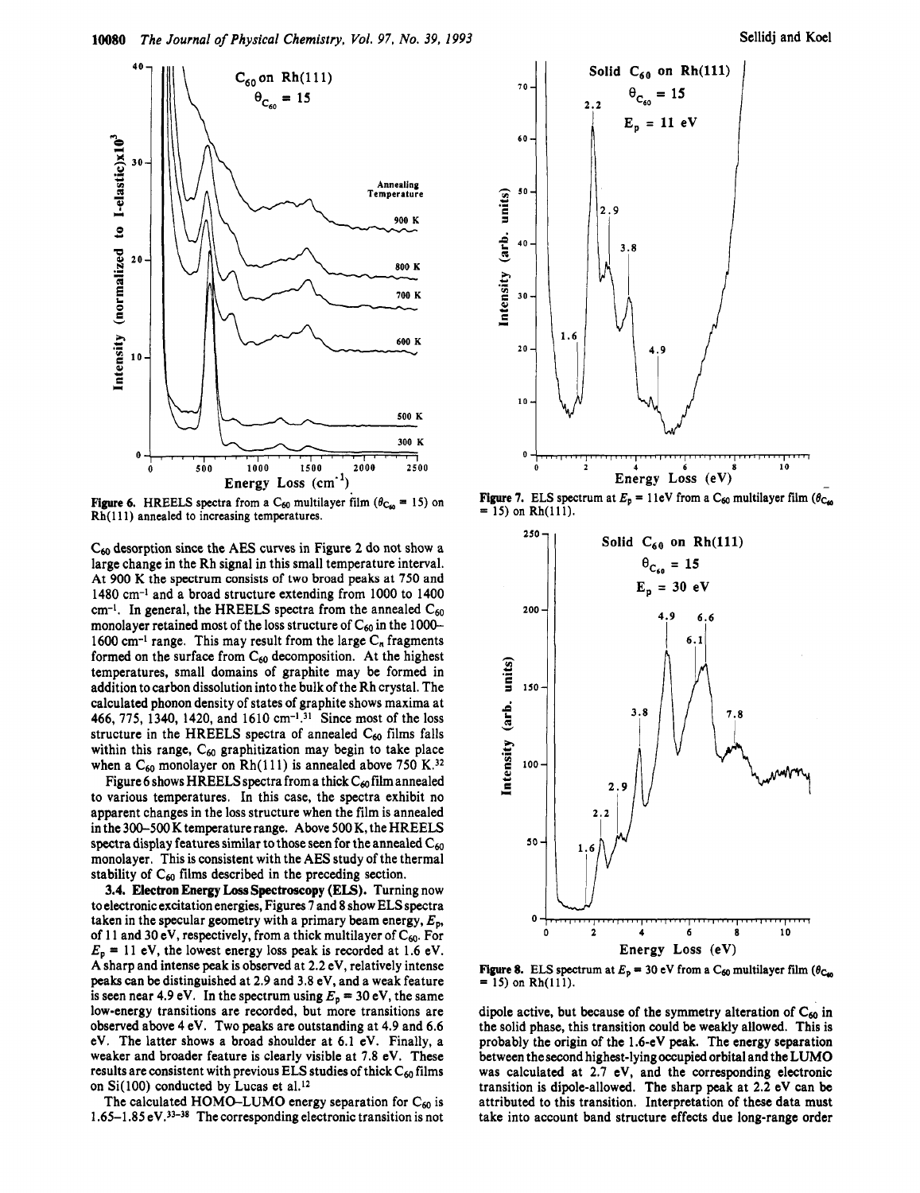

Figure 6. HREELS spectra from a C<sub>60</sub> multilayer film ( $\theta_{C_{60}} = 15$ ) on Rh(lll) annealed to increasing temperatures.

 $C_{60}$  desorption since the AES curves in Figure 2 do not show a large change in the Rh signal in this small temperature interval. At 900 K the spectrum consists of two broad peaks at 750 and 1480 cm-1 and <sup>a</sup> broad structure extending from 1000 to 1400 cm<sup>-1</sup>. In general, the HREELS spectra from the annealed  $C_{60}$ monolayer retained most of the loss structure of  $C_{60}$  in the 1000-1600 cm<sup>-1</sup> range. This may result from the large  $C_n$  fragments formed on the surface from  $C_{60}$  decomposition. At the highest temperatures, small domains of graphite may be formed in addition to carbon dissolution into the bulk of the Rh crystal. The calculated phonon density of states of graphite shows maxima at 466, 775, 1340, 1420, and 1610 cm-1.31 Since most of the loss structure in the HREELS spectra of annealed  $C_{60}$  films falls within this range,  $C_{60}$  graphitization may begin to take place when a  $C_{60}$  monolayer on Rh(111) is annealed above 750 K.<sup>32</sup>

Figure 6 shows HREELS spectra from a thick  $C_{60}$  film annealed to various temperatures. In this case, the spectra exhibit no apparent changes in the loss structure when the film is annealed in the 300-500 K temperature range. Above 500 K, the HREELS spectra display features similar to those seen for the annealed  $C_{60}$ monolayer. This is consistent with the AES study of the thermal stability of  $C_{60}$  films described in the preceding section.

3.4. Electron Energy Loss Spectroscopy (ELS). Turning now to electronic excitation energies, Figures <sup>7</sup> and <sup>8</sup> show ELS spectra taken in the specular geometry with a primary beam energy,  $E_p$ , of 11 and 30 eV, respectively, from a thick multilayer of  $C_{60}$ . For  $E_p = 11$  eV, the lowest energy loss peak is recorded at 1.6 eV. A sharp and intense peak is observed at 2.2 eV, relatively intense peaks can be distinguished at 2.9 and 3.8 eV, and <sup>a</sup> weak feature is seen near 4.9 eV. In the spectrum using  $E_p = 30$  eV, the same low-energy transitions are recorded, but more transitions are observed above <sup>4</sup> eV. Two peaks are outstanding at 4.9 and 6.6 eV. The latter shows <sup>a</sup> broad shoulder at 6.1 eV. Finally, <sup>a</sup> weaker and broader feature is clearly visible at 7.8 eV. These results are consistent with previous ELS studies of thick  $C_{60}$  films on Si(100) conducted by Lucas et al.<sup>12</sup>

The calculated HOMO-LUMO energy separation for  $C_{60}$  is 1.65-1.85 eV.33-38 The corresponding electronic transition is not



Figure 7. ELS spectrum at  $E_p = 11$ eV from a C<sub>60</sub> multilayer film ( $\theta_{C_{66}}$  $= 15$ ) on  $Rh(111)$ .



Figure 8. ELS spectrum at  $E_p = 30$  eV from a  $C_{60}$  multilayer film  $(\theta_{C_{60}})$ = 15) on Rh(lll).

dipole active, but because of the symmetry alteration of  $C_{60}$  in the solid phase, this transition could be weakly allowed. This is probably the origin of the 1.6-eV peak. The energy separation between the second highest-lying occupied orbital and the LUMO was calculated at 2.7 eV, and the corresponding electronic transition is dipole-allowed. The sharp peak at 2.2 eV can be attributed to this transition. Interpretation of these data must take into account band structure effects due long-range order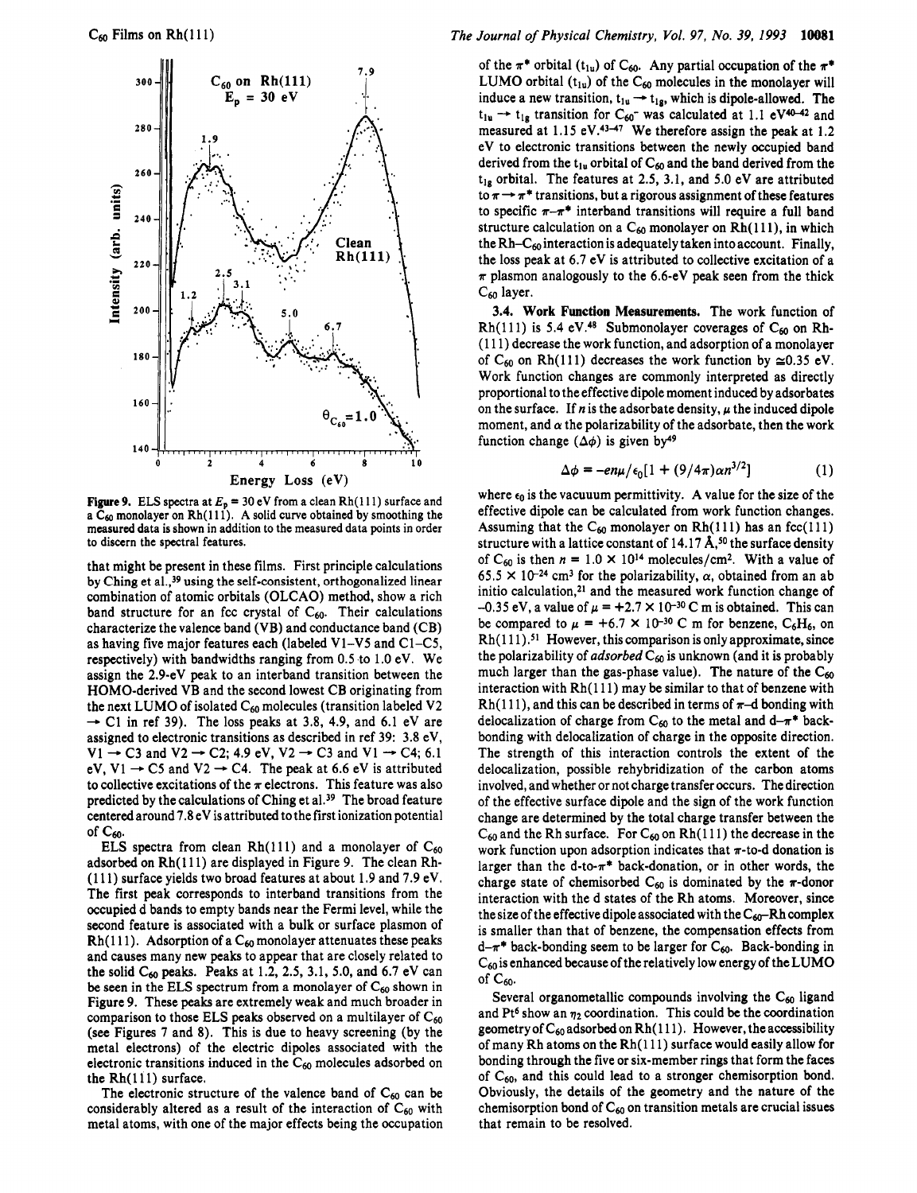

Figure 9. ELS spectra at  $E_p = 30$  eV from a clean Rh(111) surface and a  $\bar{C}_{60}$  monolayer on Rh(111). A solid curve obtained by smoothing the measured data is shown in addition to the measured data points in order to discern the spectral features.

that might be present in these films. First principle calculations by Ching et al.,39 using the self-consistent, orthogonalized linear combination of atomic orbitals (OLCAO) method, show <sup>a</sup> rich band structure for an fcc crystal of  $C_{60}$ . Their calculations characterize the valence band (VB) and conductance band (CB) as having five major features each (labeled V1-V5 and C1-C5, respectively) with bandwidths ranging from 0.5 to 1.0 eV. We assign the 2.9-eV peak to an interband transition between the HOMO-derived VB and the second lowest CB originating from the next LUMO of isolated  $C_{60}$  molecules (transition labeled V2  $\rightarrow$  C1 in ref 39). The loss peaks at 3.8, 4.9, and 6.1 eV are assigned to electronic transitions as described in ref 39: 3.8 eV,  $V1 \rightarrow C3$  and  $V2 \rightarrow C2$ ; 4.9 eV,  $V2 \rightarrow C3$  and  $V1 \rightarrow C4$ ; 6.1 eV, V1  $\rightarrow$  C5 and V2  $\rightarrow$  C4. The peak at 6.6 eV is attributed to collective excitations of the  $\pi$  electrons. This feature was also predicted by the calculations of Ching et al.<sup>39</sup> The broad feature centered around 7.8 eV is attributed to the first ionization potential of  $C_{60}$ 

ELS spectra from clean Rh(111) and a monolayer of  $C_{60}$ adsorbed on Rh(l 11) are displayed in Figure 9. The clean Rh- (111) surface yields two broad features at about 1.9 and 7.9 eV. The first peak corresponds to interband transitions from the occupied d bands to empty bands near the Fermi level, while the second feature is associated with <sup>a</sup> bulk or surface plasmon of Rh(111). Adsorption of a  $C_{60}$  monolayer attenuates these peaks and causes many new peaks to appear that are closely related to the solid  $C_{60}$  peaks. Peaks at 1.2, 2.5, 3.1, 5.0, and 6.7 eV can be seen in the ELS spectrum from a monolayer of  $C_{60}$  shown in Figure 9. These peaks are extremely weak and much broader in comparison to those ELS peaks observed on a multilayer of  $C_{60}$ (see Figures <sup>7</sup> and 8). This is due to heavy screening (by the metal electrons) of the electric dipoles associated with the electronic transitions induced in the  $C_{60}$  molecules adsorbed on the  $Rh(111)$  surface.

The electronic structure of the valence band of  $C_{60}$  can be considerably altered as a result of the interaction of  $C_{60}$  with metal atoms, with one of the major effects being the occupation of the  $\pi^*$  orbital (t<sub>lu</sub>) of C<sub>60</sub>. Any partial occupation of the  $\pi^*$ LUMO orbital  $(t_{1u})$  of the C<sub>60</sub> molecules in the monolayer will induce a new transition,  $t_{1u} \rightarrow t_{1g}$ , which is dipole-allowed. The  $t_{1u} \rightarrow t_{1g}$  transition for  $C_{60}$  was calculated at 1.1 eV<sup>40-42</sup> and measured at  $1.15$  eV.<sup>43-47</sup> We therefore assign the peak at 1.2 eV to electronic transitions between the newly occupied band derived from the  $t_{1u}$  orbital of  $C_{60}$  and the band derived from the  $t_{1g}$  orbital. The features at 2.5, 3.1, and 5.0 eV are attributed to  $\pi \rightarrow \pi^*$  transitions, but a rigorous assignment of these features to specific  $\pi - \pi^*$  interband transitions will require a full band structure calculation on a  $C_{60}$  monolayer on Rh(111), in which the Rh- $C_{60}$  interaction is adequately taken into account. Finally, the loss peak at 6.7 eV is attributed to collective excitation of <sup>a</sup>  $\pi$  plasmon analogously to the 6.6-eV peak seen from the thick  $C_{60}$  layer.

3.4. Work Function Measurements. The work function of Rh(111) is 5.4 eV.<sup>48</sup> Submonolayer coverages of  $C_{60}$  on Rh-(111) decrease the work function, and adsorption of <sup>a</sup> monolayer of C<sub>60</sub> on Rh(111) decreases the work function by  $\approx 0.35$  eV. Work function changes are commonly interpreted as directly proportional to the effective dipole moment induced by adsorbates on the surface. If n is the adsorbate density,  $\mu$  the induced dipole moment, and  $\alpha$  the polarizability of the adsorbate, then the work function change  $(\Delta \phi)$  is given by<sup>49</sup>

$$
\Delta \phi = -e n \mu / \epsilon_0 [1 + (9/4\pi) \alpha n^{3/2}] \tag{1}
$$

where  $\epsilon_0$  is the vacuuum permittivity. A value for the size of the effective dipole can be calculated from work function changes. Assuming that the  $C_{60}$  monolayer on Rh(111) has an fcc(111) structure with a lattice constant of  $14.17 \text{ Å}$ ,<sup>50</sup> the surface density of C<sub>60</sub> is then  $n = 1.0 \times 10^{14}$  molecules/cm<sup>2</sup>. With a value of 65.5  $\times$  10<sup>-24</sup> cm<sup>3</sup> for the polarizability,  $\alpha$ , obtained from an ab initio calculation,<sup>21</sup> and the measured work function change of  $-0.35$  eV, a value of  $\mu = +2.7 \times 10^{-30}$  C m is obtained. This can be compared to  $\mu = +6.7 \times 10^{-30}$  C m for benzene, C<sub>6</sub>H<sub>6</sub>, on Rh(111).<sup>51</sup> However, this comparison is only approximate, since the polarizability of *adsorbed*  $C_{60}$  is unknown (and it is probably much larger than the gas-phase value). The nature of the  $C_{60}$ interaction with  $Rh(111)$  may be similar to that of benzene with Rh(111), and this can be described in terms of  $\pi$ -d bonding with delocalization of charge from  $C_{60}$  to the metal and d- $\pi^*$  backbonding with delocalization of charge in the opposite direction. The strength of this interaction controls the extent of the delocalization, possible rehybridization of the carbon atoms involved, and whether or not charge transfer occurs. The direction of the effective surface dipole and the sign of the work function change are determined by the total charge transfer between the  $C_{60}$  and the Rh surface. For  $C_{60}$  on Rh(111) the decrease in the work function upon adsorption indicates that  $\pi$ -to-d donation is larger than the d-to- $\pi^*$  back-donation, or in other words, the charge state of chemisorbed  $C_{60}$  is dominated by the  $\pi$ -donor interaction with the d states of the Rh atoms. Moreover, since the size of the effective dipole associated with the  $C_{60}$ -Rh complex is smaller than that of benzene, the compensation effects from  $d-\pi^*$  back-bonding seem to be larger for C<sub>60</sub>. Back-bonding in  $C_{60}$  is enhanced because of the relatively low energy of the LUMO of  $C_{60}$ .

Several organometallic compounds involving the  $C_{60}$  ligand and Pt<sup>6</sup> show an  $\eta_2$  coordination. This could be the coordination geometry of  $C_{60}$  adsorbed on Rh(111). However, the accessibility of many Rh atoms on the Rh(l 11) surface would easily allow for bonding through the five or six-member rings that form the faces of  $C_{60}$ , and this could lead to a stronger chemisorption bond. Obviously, the details of the geometry and the nature of the chemisorption bond of  $C_{60}$  on transition metals are crucial issues that remain to be resolved.